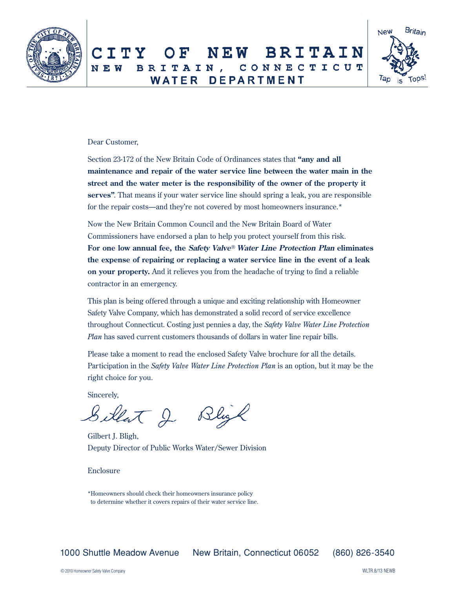

#### $O<sub>F</sub>$ NEW **BRITAIN** I T Y BRITAIN, CONNECTICUT **NEW DEPARTMENT** WATER



Dear Customer,

Section 23-172 of the New Britain Code of Ordinances states that **"any and all maintenance and repair of the water service line between the water main in the street and the water meter is the responsibility of the owner of the property it serves".** That means if your water service line should spring a leak, you are responsible for the repair costs—and they're not covered by most homeowners insurance.\*

Now the New Britain Common Council and the New Britain Board of Water Commissioners have endorsed a plan to help you protect yourself from this risk. **For one low annual fee, the Safety Valve**® **Water Line Protection Plan eliminates the expense of repairing or replacing a water service line in the event of a leak on your property.** And it relieves you from the headache of trying to find a reliable contractor in an emergency.

This plan is being offered through a unique and exciting relationship with Homeowner Safety Valve Company, which has demonstrated a solid record of service excellence throughout Connecticut. Costing just pennies a day, the *Safety Valve Water Line Protection Plan* has saved current customers thousands of dollars in water line repair bills.

Please take a moment to read the enclosed Safety Valve brochure for all the details. Participation in the *Safety Valve Water Line Protection Plan* is an option, but it may be the right choice for you.

Sincerely,

Sillat J. Bligh

Gilbert J. Bligh, Deputy Director of Public Works Water/Sewer Division

Enclosure

\*Homeowners should check their homeowners insurance policy to determine whether it covers repairs of their water service line.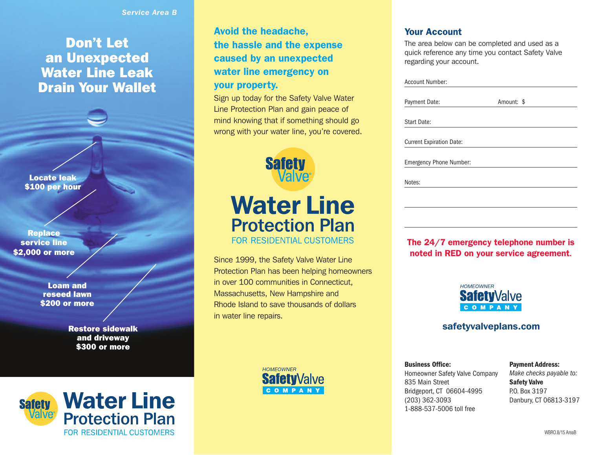# **Don't Let an Unexpected Water Line Leak Drain Your Wallet**

**Locate leak \$100 per hour**

**Replace service line \$2,000 or more**

> **Loam and reseed lawn \$200 or more**

> > **Restore sidewalk and driveway \$300 or more**



## **Avoid the headache, the hassle and the expense caused by an unexpected water line emergency on your property.**

Sign up today for the Safety Valve Water Line Protection Plan and gain peace of mind knowing that if something should go wrong with your water line, you're covered.



# **Water Line Protection Plan FOR RESIDENTIAL CUSTOMERS**

Since 1999, the Safety Valve Water Line Protection Plan has been helping homeowners in over 100 communities in Connecticut, Massachusetts, New Hampshire and Rhode Island to save thousands of dollars in water line repairs.



#### **Your Account**

The area below can be completed and used as a quick reference any time you contact Safety Valve regarding your account.

| Amount: \$ |
|------------|
|            |
|            |
|            |
|            |
|            |
|            |
|            |
|            |
|            |
|            |
|            |
|            |
|            |
|            |

#### **The 24/7 emergency telephone number is noted in RED on your service agreement.**



#### **safetyvalveplans.com**

**Business Office:** Homeowner Safety Valve Company 835 Main Street Bridgeport, CT 06604-4995 (203) 362-3093 1-888-537-5006 toll free

**Payment Address:** *Make checks payable to:* **Safety Valve** PO. Box 3197 Danbury, CT 06813-3197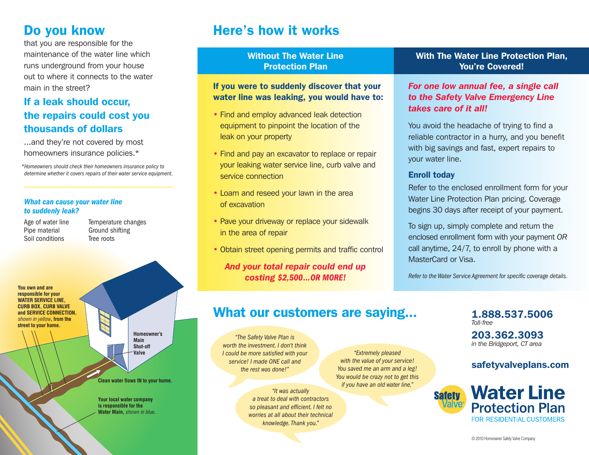# **Do you know**

that you are responsible for the maintenance of the water line which runs underground from your house out to where it connects to the water main in the street?

## **If a leak should occur, the repairs could cost you thousands of dollars**

...and they're not covered by most homeowners insurance policies.\*

*\*Homeowners should check their homeowners insurance policy to determine whether it covers repairs of their water service equipment.*

#### *What can cause your water line to suddenly leak?*

Age of water line Pipe material Soil conditions

Temperature changes Ground shifting Tree roots

**You own and are responsible for your WATER SERVICE LINE, CURB BOX, CURB VALVE and SERVICE CONNECTION,** *shown in yellow***, from the street to your home.**



**Clean water flows IN to your home.**

**Your local water company is responsible for the Water Main,** *shown in blue***.**

# **Here's how it works**

**Without The Water Line Protection Plan**

#### **If you were to suddenly discover that your water line was leaking, you would have to:**

- Find and employ advanced leak detection equipment to pinpoint the location of the leak on your property
- Find and pay an excavator to replace or repair your leaking water service line, curb valve and service connection
- Loam and reseed your lawn in the area of excavation
- Pave your driveway or replace your sidewalk in the area of repair
- Obtain street opening permits and traffic control

*And your total repair could end up costing \$2,500...OR MORE!*

#### **With The Water Line Protection Plan, You're Covered!**

#### *For one low annual fee, a single call to the Safety Valve Emergency Line takes care of it all!*

You avoid the headache of trying to find a reliable contractor in a hurry, and you benefit with big savings and fast, expert repairs to your water line.

#### **Enroll today**

Refer to the enclosed enrollment form for your Water Line Protection Plan pricing. Coverage begins 30 days after receipt of your payment.

To sign up, simply complete and return the enclosed enrollment form with your payment *OR* call anytime, 24/7, to enroll by phone with a MasterCard or Visa.

*Refer to theWater Service Agreement for specific coverage details.*

# **What our customers are saying...**

*"The Safety Valve Plan is worth the investment. I don't think I could be more satisfied with your service! I made ONE call and the rest was done!"*

> *"It was actually a treat to deal with contractors so pleasant and efficient. I felt no worries at all about their technical knowledge.Thank you."*

*"Extremely pleased with the value of your service! You saved me an arm and a leg! You would be crazy not to get this if you have an old water line."*

**1.888.537.5006** *Toll-free*

**203.362.3093** *in the Bridgeport, CT area*

### **safetyvalveplans.com**

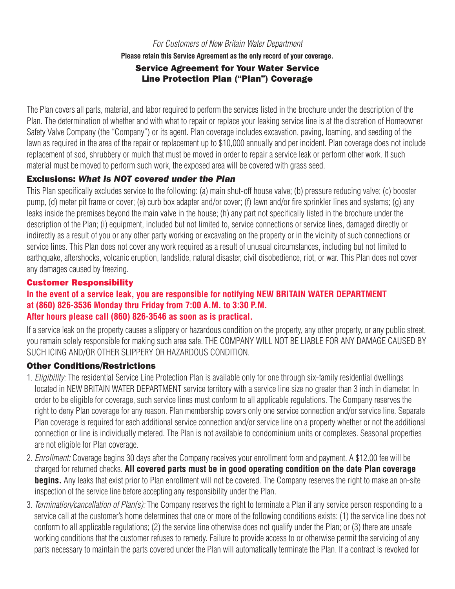#### *For Customers of New Britain Water Department*

**Please retain this Service Agreement as the only record of your coverage.**

### **Service Agreement for Your Water Service Line Protection Plan ("Plan") Coverage**

The Plan covers all parts, material, and labor required to perform the services listed in the brochure under the description of the Plan. The determination of whether and with what to repair or replace your leaking service line is at the discretion of Homeowner Safety Valve Company (the "Company") or its agent. Plan coverage includes excavation, paving, loaming, and seeding of the lawn as required in the area of the repair or replacement up to \$10,000 annually and per incident. Plan coverage does not include replacement of sod, shrubbery or mulch that must be moved in order to repair a service leak or perform other work. If such material must be moved to perform such work, the exposed area will be covered with grass seed.

### **Exclusions:** *What is NOT covered under the Plan*

This Plan specifically excludes service to the following: (a) main shut-off house valve; (b) pressure reducing valve; (c) booster pump, (d) meter pit frame or cover; (e) curb box adapter and/or cover; (f) lawn and/or fire sprinkler lines and systems; (g) any leaks inside the premises beyond the main valve in the house; (h) any part not specifically listed in the brochure under the description of the Plan; (i) equipment, included but not limited to, service connections or service lines, damaged directly or indirectly as a result of you or any other party working or excavating on the property or in the vicinity of such connections or service lines. This Plan does not cover any work required as a result of unusual circumstances, including but not limited to earthquake, aftershocks, volcanic eruption, landslide, natural disaster, civil disobedience, riot, or war. This Plan does not cover any damages caused by freezing.

### **Customer Responsibility**

#### **In the event of a service leak, you are responsible for notifying NEW BRITAIN WATER DEPARTMENT at (860) 826-3536 Monday thru Friday from 7:00 A.M. to 3:30 P.M. After hours please call (860) 826-3546 as soon as is practical.**

If a service leak on the property causes a slippery or hazardous condition on the property, any other property, or any public street, you remain solely responsible for making such area safe. THE COMPANY WILL NOT BE LIABLE FOR ANY DAMAGE CAUSED BY SUCH ICING AND/OR OTHER SLIPPERY OR HAZARDOUS CONDITION.

### **Other Conditions/Restrictions**

- 1. *Eligibility:* The residential Service Line Protection Plan is available only for one through six-family residential dwellings located in NEW BRITAIN WATER DEPARTMENT service territory with a service line size no greater than 3 inch in diameter. In order to be eligible for coverage, such service lines must conform to all applicable regulations. The Company reserves the right to deny Plan coverage for any reason. Plan membership covers only one service connection and/or service line. Separate Plan coverage is required for each additional service connection and/or service line on a property whether or not the additional connection or line is individually metered. The Plan is not available to condominium units or complexes. Seasonal properties are not eligible for Plan coverage.
- 2. *Enrollment:* Coverage begins 30 days after the Company receives your enrollment form and payment. A \$12.00 fee will be charged for returned checks. **All covered parts must be in good operating condition on the date Plan coverage begins.** Any leaks that exist prior to Plan enrollment will not be covered. The Company reserves the right to make an on-site inspection of the service line before accepting any responsibility under the Plan.
- 3. *Termination/cancellation of Plan(s):* The Company reserves the right to terminate a Plan if any service person responding to a service call at the customer's home determines that one or more of the following conditions exists: (1) the service line does not conform to all applicable regulations; (2) the service line otherwise does not qualify under the Plan; or (3) there are unsafe working conditions that the customer refuses to remedy. Failure to provide access to or otherwise permit the servicing of any parts necessary to maintain the parts covered under the Plan will automatically terminate the Plan. If a contract is revoked for